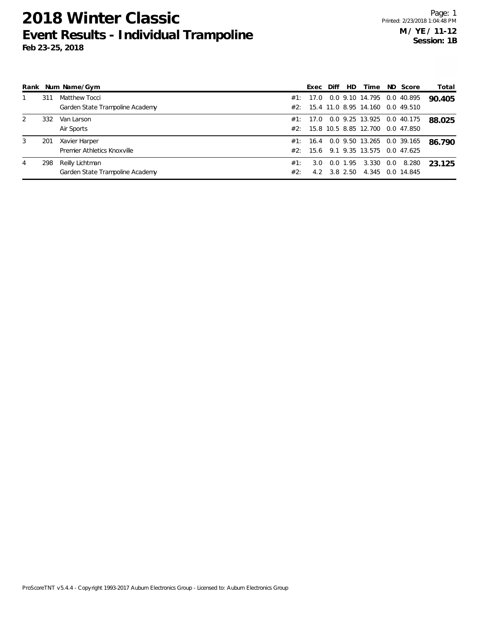|   |     | Rank Num Name/Gym               |     | Exec     | Diff | HD.      | Time                                 |     | ND Score   | Total  |
|---|-----|---------------------------------|-----|----------|------|----------|--------------------------------------|-----|------------|--------|
|   | 311 | Matthew Tocci                   |     | #1: 17.0 |      |          | 0.0 9.10 14.795                      |     | 0.0 40.895 | 90.405 |
|   |     | Garden State Trampoline Academy |     |          |      |          | #2: 15.4 11.0 8.95 14.160 0.0 49.510 |     |            |        |
| 2 | 332 | Van Larson                      |     |          |      |          | #1: 17.0 0.0 9.25 13.925 0.0 40.175  |     |            | 88.025 |
|   |     | Air Sports                      |     |          |      |          | #2: 15.8 10.5 8.85 12.700 0.0 47.850 |     |            |        |
| 3 | 201 | Xavier Harper                   |     |          |      |          | #1: 16.4 0.0 9.50 13.265 0.0 39.165  |     |            | 86.790 |
|   |     | Premier Athletics Knoxville     |     | #2: 15.6 |      |          | 9.1 9.35 13.575 0.0 47.625           |     |            |        |
| 4 | 298 | Reilly Lichtman                 | #1: | 3.0      |      | 0.0 1.95 | 3.330                                | 0.0 | 8.280      | 23 125 |
|   |     | Garden State Trampoline Academy | #2: | 4.2      |      | 3.8 2.50 | 4.345 0.0 14.845                     |     |            |        |

ProScoreTNT v5.4.4 - Copyright 1993-2017 Auburn Electronics Group - Licensed to: Auburn Electronics Group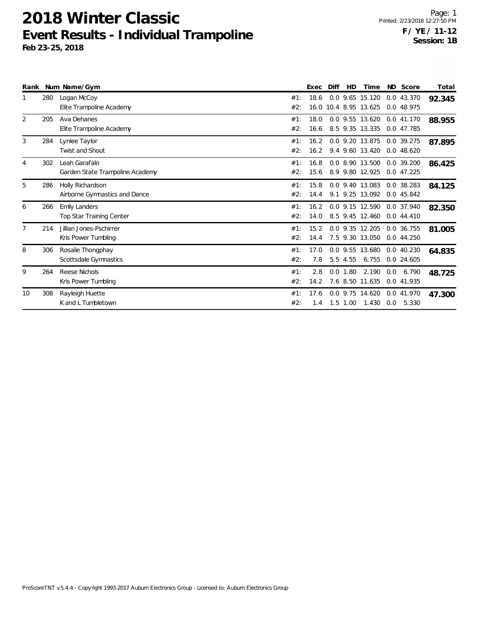|                |     | Rank Num Name/Gym                                 |            | Exec         | Diff | <b>HD</b> | Time                                     |     | ND Score                       | Total  |
|----------------|-----|---------------------------------------------------|------------|--------------|------|-----------|------------------------------------------|-----|--------------------------------|--------|
|                | 280 | Logan McCoy<br>Elite Trampoline Academy           | #1:<br>#2: | 18.6         |      |           | 0.0 9.65 15.120<br>16.0 10.4 8.95 13.625 |     | 0.0 43.370<br>0.0 48.975       | 92.345 |
| 2              | 205 | Ava Dehanes<br>Elite Trampoline Academy           | #1:<br>#2: | 18.0<br>16.6 |      |           | 0.0 9.55 13.620<br>8.5 9.35 13.335       |     | 0.0 41.170<br>0.0 47.785       | 88.955 |
| 3              | 284 | Lynlee Taylor<br><b>Twist and Shout</b>           | #1:<br>#2: | 16.2<br>16.2 |      |           | 0.0 9.20 13.875<br>9.4 9.60 13.420       |     | 0.0 39.275<br>0.048.620        | 87.895 |
| $\overline{4}$ | 302 | Leah Garafalo<br>Garden State Trampoline Academy  | #1:<br>#2: | 16.8<br>15.6 |      |           | 0.0 8.90 13.500<br>8.9 9.80 12.925       |     | 0.0 39.200<br>0.047.225        | 86.425 |
| 5              | 286 | Holly Richardson<br>Airborne Gymnastics and Dance | #1:<br>#2: | 15.8<br>14.4 |      |           | 0.0 9.40 13.083<br>9.1 9.25 13.092       |     | $0.0$ 38.283<br>0.0 45.842     | 84.125 |
| 6              | 266 | <b>Emily Landers</b><br>Top Star Training Center  | #1:<br>#2: | 16.2<br>14.0 |      |           | 0.0 9.15 12.590<br>8.5 9.45 12.460       |     | 0.0 37.940<br>0.044.410        | 82.350 |
| $\overline{7}$ | 214 | Jillian Jones-Pschirrer<br>Kris Power Tumbling    | #1:<br>#2: | 15.2<br>14.4 |      |           | 0.0 9.35 12.205<br>7.5 9.30 13.050       |     | 0.0 36.755<br>0.044.250        | 81.005 |
| 8              | 306 | Rosalie Thongphay<br>Scottsdale Gymnastics        | #1:<br>#2: | 17.0<br>7.8  |      | 5.5 4.55  | 0.0 9.55 13.680<br>6.755                 |     | 0.0 40.230<br>0.0 24.605       | 64.835 |
| 9              | 264 | Reese Nichols<br>Kris Power Tumbling              | #1:<br>#2: | 2.8<br>14.2  | 0.0  | 1.80      | 2.190<br>7.6 8.50 11.635                 | 0.0 | 6.790<br>0.0 41.935            | 48.725 |
| 10             | 308 | Rayleigh Huette<br>K and L Tumbletown             | #1:<br>#2: | 17.6<br>1.4  |      | 1.5 1.00  | 0.0 9.75 14.620<br>1.430                 |     | 0.0 41.970<br>$0.0\quad 5.330$ | 47.300 |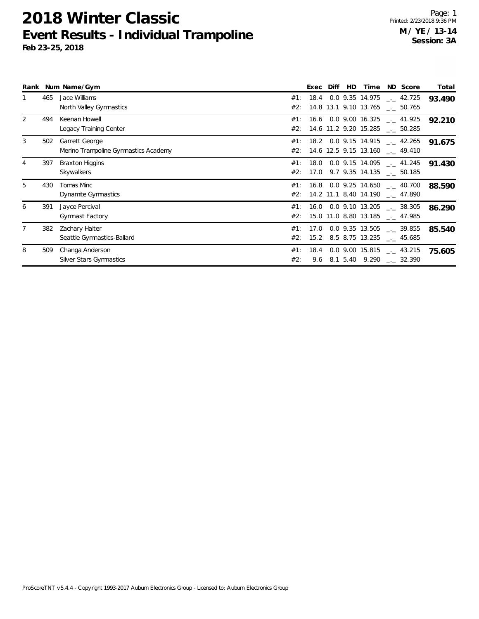|   |     | Rank Num Name/Gym                    |     | <b>Exec</b> | Diff | HD | Time | ND Score                                 | Total  |
|---|-----|--------------------------------------|-----|-------------|------|----|------|------------------------------------------|--------|
|   | 465 | Jace Williams                        | #1: |             |      |    |      | $18.4$ 0.0 9.35 14.975 $\ldots$ 42.725   | 93.490 |
|   |     | North Valley Gymnastics              | #2: |             |      |    |      | 14.8 13.1 9.10 13.765 . 50.765           |        |
| 2 | 494 | Keenan Howell                        | #1: |             |      |    |      | $16.6$ 0.0 9.00 16.325 $\ldots$ 41.925   | 92.210 |
|   |     | Legacy Training Center               | #2: |             |      |    |      | 14.6 11.2 9.20 15.285 __ 50.285          |        |
| 3 | 502 | Garrett George                       | #1: |             |      |    |      | $18.2$ 0.0 9.15 14.915 $\ldots$ 42.265   | 91.675 |
|   |     | Merino Trampoline Gymnastics Academy | #2: |             |      |    |      | 14.6 12.5 9.15 13.160 __ 49.410          |        |
| 4 | 397 | <b>Braxton Higgins</b>               | #1: | 18.0        |      |    |      | $0.0$ 9.15 14.095 $\_ 41.245$            | 91.430 |
|   |     | Skywalkers                           | #2: |             |      |    |      | 17.0 9.7 9.35 14.135 $\text{\_}2$ 50.185 |        |
| 5 | 430 | Tomas Minc                           | #1: |             |      |    |      | $16.8$ 0.0 9.25 14.650 $\ldots$ 40.700   | 88.590 |
|   |     | Dynamite Gymnastics                  | #2: |             |      |    |      | 14.2 11.1 8.40 14.190 __ 47.890          |        |
| 6 | 391 | Jayce Percival                       | #1: |             |      |    |      | 16.0 0.0 9.10 13.205 $\text{---}$ 38.305 | 86.290 |
|   |     | <b>Gymnast Factory</b>               | #2: |             |      |    |      | 15.0 11.0 8.80 13.185 __ 47.985          |        |
| 7 | 382 | Zachary Halter                       | #1: | 17.0        |      |    |      | $0.0$ 9.35 13.505 $\ldots$ 39.855        | 85.540 |
|   |     | Seattle Gymnastics-Ballard           | #2: |             |      |    |      | 15.2 8.5 8.75 13.235 __ 45.685           |        |
| 8 | 509 | Changa Anderson                      | #1: | 18.4        |      |    |      | 0.0 9.00 15.815 $_{\leftarrow}$ 43.215   | 75.605 |
|   |     | Silver Stars Gymnastics              | #2: |             |      |    |      | 9.6 8.1 5.40 9.290 $\text{---}$ 32.390   |        |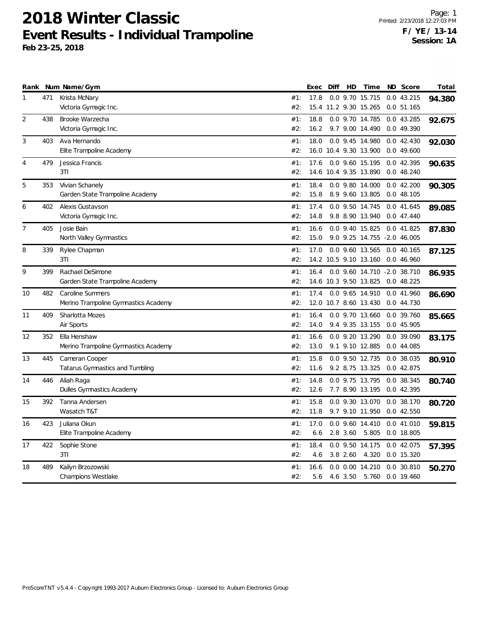| Rank |     | Num Name/Gym                         |     | Exec | Diff | HD         | Time                        | ND Score     | Total  |
|------|-----|--------------------------------------|-----|------|------|------------|-----------------------------|--------------|--------|
| 1    | 471 | Krista McNary                        | #1: | 17.8 |      |            | 0.0 9.70 15.715             | 0.0 43.215   | 94.380 |
|      |     | Victoria Gymagic Inc.                | #2: |      |      |            | 15.4 11.2 9.30 15.265       | 0.051.165    |        |
| 2    | 438 | Brooke Warzecha                      | #1: | 18.8 |      |            | 0.0 9.70 14.785             | 0.043.285    | 92.675 |
|      |     | Victoria Gymagic Inc.                | #2: | 16.2 |      |            | 9.7 9.00 14.490             | 0.0 49.390   |        |
| 3    | 403 | Ava Hernando                         | #1: | 18.0 |      |            | 0.0 9.45 14.980             | 0.042.430    | 92.030 |
|      |     | Elite Trampoline Academy             | #2: |      |      |            | 16.0 10.4 9.30 13.900       | 0.0 49.600   |        |
| 4    | 479 | Jessica Francis                      | #1: | 17.6 |      |            | 0.0 9.60 15.195             | 0.0 42.395   | 90.635 |
|      |     | 3T1                                  | #2: |      |      |            | 14.6 10.4 9.35 13.890       | 0.0 48.240   |        |
| 5    | 353 | Vivian Schanely                      | #1: | 18.4 |      |            | 0.0 9.80 14.000             | 0.042.200    | 90.305 |
|      |     | Garden State Trampoline Academy      | #2: | 15.8 |      |            | 8.9 9.60 13.805             | 0.048.105    |        |
| 6    | 402 | Alexis Gustavson                     | #1: | 17.4 |      |            | 0.0 9.50 14.745             | 0.0 41.645   | 89.085 |
|      |     | Victoria Gymagic Inc.                | #2: | 14.8 |      |            | 9.8 8.90 13.940             | 0.047.440    |        |
| 7    | 405 | Josie Bain                           | #1: | 16.6 |      |            | 0.0 9.40 15.825             | 0.0 41.825   | 87.830 |
|      |     | North Valley Gymnastics              | #2: | 15.0 |      |            | 9.0 9.25 14.755 -2.0 46.005 |              |        |
| 8    | 339 | Rylee Chapman                        | #1: | 17.0 |      |            | 0.0 9.60 13.565             | 0.040.165    | 87.125 |
|      |     | 3T1                                  | #2: |      |      |            | 14.2 10.5 9.10 13.160       | 0.0 46.960   |        |
| 9    | 399 | Rachael DeSimone                     | #1: | 16.4 |      |            | 0.0 9.60 14.710 -2.0 38.710 |              | 86.935 |
|      |     | Garden State Trampoline Academy      | #2: |      |      |            | 14.6 10.3 9.50 13.825       | 0.048.225    |        |
| 10   | 482 | <b>Caroline Summers</b>              | #1: | 17.4 |      |            | 0.0 9.65 14.910             | 0.0 41.960   | 86.690 |
|      |     | Merino Trampoline Gymnastics Academy | #2: |      |      |            | 12.0 10.7 8.60 13.430       | 0.0 44.730   |        |
| 11   | 409 | Sharlotta Mozes                      | #1: | 16.4 |      |            | 0.0 9.70 13.660             | 0.0 39.760   | 85.665 |
|      |     | Air Sports                           | #2: | 14.0 |      |            | 9.4 9.35 13.155             | 0.0 45.905   |        |
| 12   | 352 | Ella Henshaw                         | #1: | 16.6 |      |            | 0.0 9.20 13.290             | 0.0 39.090   | 83.175 |
|      |     | Merino Trampoline Gymnastics Academy | #2: | 13.0 |      |            | 9.1 9.10 12.885             | 0.0 44.085   |        |
| 13   | 445 | Cameran Cooper                       | #1: | 15.8 |      |            | 0.0 9.50 12.735             | 0.0 38.035   | 80.910 |
|      |     | Tatarus Gymnastics and Tumbling      | #2: | 11.6 |      |            | 9.2 8.75 13.325             | 0.0 42.875   |        |
| 14   | 446 | Aliah Raga                           | #1: | 14.8 |      |            | 0.0 9.75 13.795             | 0.0 38.345   | 80.740 |
|      |     | Dulles Gymnastics Academy            | #2: | 12.6 |      |            | 7.7 8.90 13.195             | 0.0 42.395   |        |
| 15   | 392 | Tanna Andersen                       | #1: | 15.8 |      |            | 0.0 9.30 13.070             | 0.0 38.170   | 80.720 |
|      |     | Wasatch T&T                          | #2: | 11.8 |      |            | 9.7 9.10 11.950             | 0.0 42.550   |        |
| 16   | 423 | Juliana Okun                         | #1: | 17.0 |      |            | 0.0 9.60 14.410             | 0.041.010    | 59.815 |
|      |     | Elite Trampoline Academy             | #2: | 6.6  |      | 2.8 3.60   | 5.805                       | 0.0 18.805   |        |
| 17   | 422 | Sophie Stone                         | #1: | 18.4 |      |            | 0.0 9.50 14.175             | 0.0 42.075   | 57.395 |
|      |     | 3T1                                  | #2: | 4.6  |      | $3.8$ 2.60 | 4.320                       | 0.0 15.320   |        |
| 18   | 489 | Kailyn Brzozowski                    | #1: | 16.6 |      |            | $0.0$ $0.00$ $14.210$       | $0.0$ 30.810 | 50.270 |
|      |     | <b>Champions Westlake</b>            | #2: | 5.6  |      |            | 4.6 3.50 5.760              | 0.0 19.460   |        |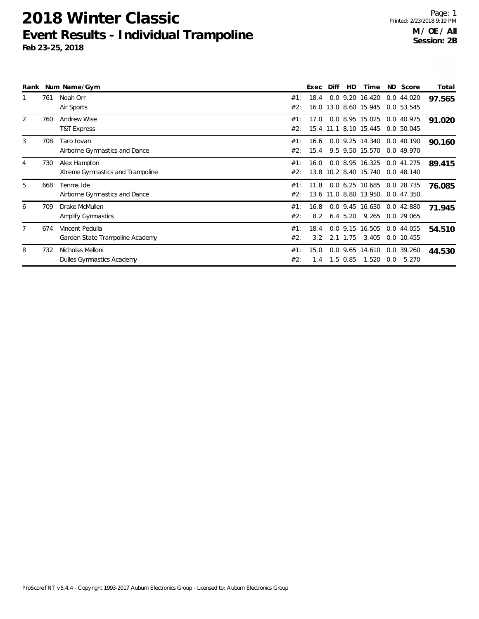|                |     | Rank Num Name/Gym                |     | <b>Exec</b> | Diff | HD            | Time                  |     | ND Score     | Total  |
|----------------|-----|----------------------------------|-----|-------------|------|---------------|-----------------------|-----|--------------|--------|
|                | 761 | Noah Orr                         | #1: | 18.4        |      |               | $0.0$ 9.20 16.420     |     | 0.044.020    | 97.565 |
|                |     | Air Sports                       | #2: |             |      |               | 16.0 13.0 8.60 15.945 |     | 0.0 53.545   |        |
| 2              | 760 | <b>Andrew Wise</b>               | #1: | 17.0        |      |               | 0.0 8.95 15.025       |     | 0.0 40.975   | 91.020 |
|                |     | <b>T&amp;T Express</b>           | #2: |             |      |               | 15.4 11.1 8.10 15.445 |     | 0.0 50.045   |        |
| 3              | 708 | Taro Iovan                       | #1: | 16.6        |      |               | 0.0 9.25 14.340       |     | 0.0 40.190   | 90.160 |
|                |     | Airborne Gymnastics and Dance    | #2: | 15.4        |      |               | 9.5 9.50 15.570       |     | 0.0 49.970   |        |
| 4              | 730 | Alex Hampton                     | #1: | 16.0        |      |               | 0.0 8.95 16.325       |     | 0.0 41.275   | 89.415 |
|                |     | Xtreme Gymnastics and Trampoline | #2: |             |      |               | 13.8 10.2 8.40 15.740 |     | 0.048.140    |        |
| 5              | 668 | Tenma Ide                        | #1: | 11.8        |      |               | $0.0 \t6.25 \t10.685$ |     | 0.0 28.735   | 76.085 |
|                |     | Airborne Gymnastics and Dance    | #2: | 13.6        |      |               | 11.0 8.80 13.950      |     | 0.0 47.350   |        |
| 6              | 709 | Drake McMullen                   | #1: | 16.8        |      |               | $0.0$ 9.45 16.630     |     | 0.0 42.880   | 71.945 |
|                |     | Amplify Gymnastics               | #2: | 8.2         |      | $6.4\;\;5.20$ | 9.265                 |     | 0.0 29.065   |        |
| $\overline{7}$ | 674 | Vincent Pedulla                  | #1: | 18.4        |      |               | 0.0 9.15 16.505       |     | 0.0 44.055   | 54.510 |
|                |     | Garden State Trampoline Academy  | #2: | 3.2         |      | 2.1 1.75      | 3.405                 |     | $0.0$ 10.455 |        |
| 8              | 732 | Nicholas Melloni                 | #1: | 15.0        | 0.0  | 9.65          | 14.610                |     | 0.0 39.260   | 44.530 |
|                |     | Dulles Gymnastics Academy        | #2: | 1.4         |      | $1.5 \ 0.85$  | 1.520                 | 0.0 | 5.270        |        |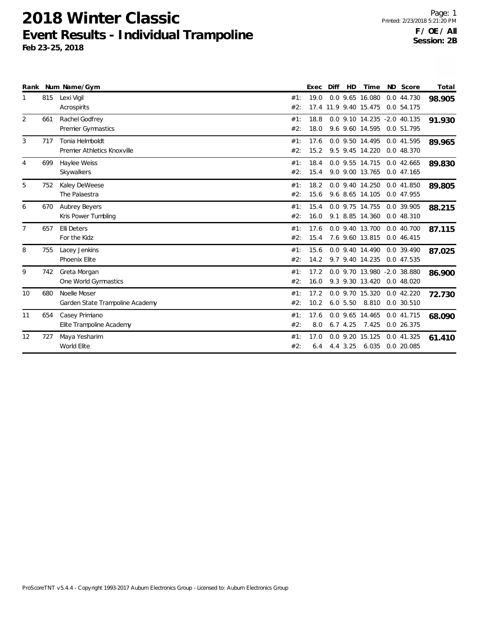|                |     | Rank Num Name/Gym                               |            | <b>Exec</b>  | Diff | <b>HD</b> | Time                                           | ND Score                 | Total  |
|----------------|-----|-------------------------------------------------|------------|--------------|------|-----------|------------------------------------------------|--------------------------|--------|
| 1              | 815 | Lexi Vigil<br>Acrospirits                       | #1:<br>#2: | 19.0         |      |           | 0.0 9.65 16.080<br>17.4 11.9 9.40 15.475       | 0.0 44.730<br>0.0 54.175 | 98.905 |
| 2              | 661 | Rachel Godfrey<br>Premier Gymnastics            | #1:<br>#2: | 18.8<br>18.0 |      |           | 0.0 9.10 14.235 -2.0 40.135<br>9.6 9.60 14.595 | 0.0 51.795               | 91.930 |
| 3              | 717 | Tonia Helmboldt<br>Premier Athletics Knoxville  | #1:<br>#2: | 17.6<br>15.2 |      |           | 0.0 9.50 14.495<br>9.5 9.45 14.220             | 0.0 41.595<br>0.0 48.370 | 89.965 |
| 4              | 699 | Haylee Weiss<br>Skywalkers                      | #1:<br>#2: | 18.4<br>15.4 |      |           | 0.0 9.55 14.715<br>9.0 9.00 13.765             | 0.0 42.665<br>0.0 47.165 | 89.830 |
| 5              | 752 | Kaley DeWeese<br>The Palaestra                  | #1:<br>#2: | 18.2<br>15.6 |      |           | 0.0 9.40 14.250<br>9.6 8.65 14.105             | 0.0 41.850<br>0.0 47.955 | 89.805 |
| 6              | 670 | <b>Aubrey Beyers</b><br>Kris Power Tumbling     | #1:<br>#2: | 15.4<br>16.0 |      |           | 0.0 9.75 14.755<br>9.1 8.85 14.360             | 0.0 39.905<br>0.0 48.310 | 88.215 |
| $\overline{7}$ | 657 | <b>Elli Deters</b><br>For the Kidz              | #1:<br>#2: | 17.6<br>15.4 |      |           | 0.0 9.40 13.700<br>7.6 9.60 13.815             | 0.040.700<br>0.0 46.415  | 87.115 |
| 8              | 755 | Lacey Jenkins<br>Phoenix Elite                  | #1:<br>#2: | 15.6<br>14.2 |      |           | 0.0 9.40 14.490<br>9.7 9.40 14.235             | 0.0 39.490<br>0.0 47.535 | 87.025 |
| 9              | 742 | Greta Morgan<br>One World Gymnastics            | #1:<br>#2: | 17.2<br>16.0 |      |           | 0.0 9.70 13.980 -2.0 38.880<br>9.3 9.30 13.420 | 0.048.020                | 86.900 |
| 10             | 680 | Noelle Moser<br>Garden State Trampoline Academy | #1:<br>#2: | 17.2<br>10.2 |      |           | 0.0 9.70 15.320<br>6.0 5.50 8.810              | 0.042.220<br>0.0 30.510  | 72.730 |
| 11             | 654 | Casey Primiano<br>Elite Trampoline Academy      | #1:<br>#2: | 17.6<br>8.0  |      | 6.7, 4.25 | 0.0 9.65 14.465<br>7.425                       | 0.0 41.715<br>0.0 26.375 | 68.090 |
| 12             | 727 | Maya Yesharim<br>World Elite                    | #1:<br>#2: | 17.0<br>6.4  |      | 4.4 3.25  | 0.0 9.20 15.125<br>6.035                       | 0.0 41.325<br>0.0 20.085 | 61.410 |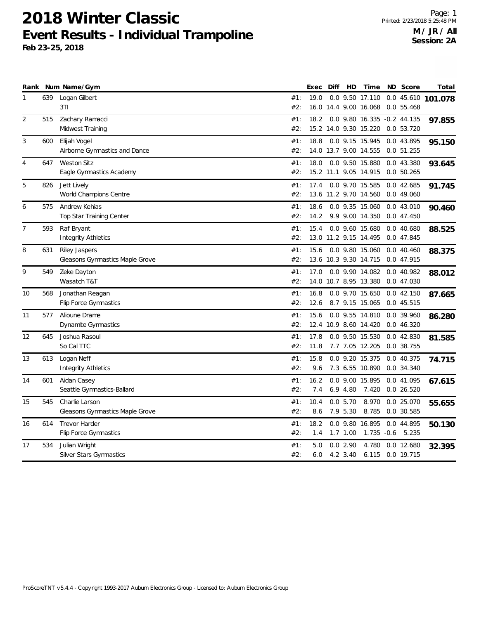| Rank         |     | Num Name/Gym                                            |            | Exec         | Diff | HD                  | Time                                     | ND Score                       | Total              |
|--------------|-----|---------------------------------------------------------|------------|--------------|------|---------------------|------------------------------------------|--------------------------------|--------------------|
| $\mathbf{1}$ | 639 | Logan Gilbert<br>3T1                                    | #1:<br>#2: | 19.0         |      |                     | 0.0 9.50 17.110<br>16.0 14.4 9.00 16.068 | 0.055.468                      | 0.0 45.610 101.078 |
| 2            | 515 | Zachary Ramacci<br>Midwest Training                     | #1:<br>#2: | 18.2         |      |                     | 0.0 9.80 16.335<br>15.2 14.0 9.30 15.220 | $-0.2$ 44.135<br>0.0 53.720    | 97.855             |
| 3            | 600 | Elijah Vogel<br>Airborne Gymnastics and Dance           | #1:<br>#2: | 18.8         |      |                     | 0.0 9.15 15.945<br>14.0 13.7 9.00 14.555 | 0.0 43.895<br>0.0 51.255       | 95.150             |
| 4            | 647 | <b>Weston Sitz</b><br>Eagle Gymnastics Academy          | #1:<br>#2: | 18.0         |      |                     | 0.0 9.50 15.880<br>15.2 11.1 9.05 14.915 | 0.0 43.380<br>0.050.265        | 93.645             |
| 5            | 826 | Jett Lively<br>World Champions Centre                   | #1:<br>#2: | 17.4         |      |                     | 0.0 9.70 15.585<br>13.6 11.2 9.70 14.560 | 0.042.685<br>0.0 49.060        | 91.745             |
| 6            | 575 | Andrew Kehias<br>Top Star Training Center               | #1:<br>#2: | 18.6<br>14.2 |      |                     | 0.0 9.35 15.060<br>9.9 9.00 14.350       | 0.043.010<br>0.047.450         | 90.460             |
| 7            | 593 | Raf Bryant<br><b>Integrity Athletics</b>                | #1:<br>#2: | 15.4         |      |                     | 0.0 9.60 15.680<br>13.0 11.2 9.15 14.495 | 0.040.680<br>0.0 47.845        | 88.525             |
| 8            | 631 | Riley Jaspers<br><b>Gleasons Gymnastics Maple Grove</b> | #1:<br>#2: | 15.6         |      |                     | 0.0 9.80 15.060<br>13.6 10.3 9.30 14.715 | 0.040.460<br>0.0 47.915        | 88.375             |
| 9            | 549 | Zeke Dayton<br>Wasatch T&T                              | #1:<br>#2: | 17.0         |      |                     | 0.0 9.90 14.082<br>14.0 10.7 8.95 13.380 | 0.0 40.982<br>0.0 47.030       | 88.012             |
| 10           | 568 | Jonathan Reagan<br>Flip Force Gymnastics                | #1:<br>#2: | 16.8<br>12.6 |      |                     | 0.0 9.70 15.650<br>8.7 9.15 15.065       | 0.042.150<br>0.0 45.515        | 87.665             |
| 11           | 577 | Alioune Drame<br>Dynamite Gymnastics                    | #1:<br>#2: | 15.6         |      |                     | 0.0 9.55 14.810<br>12.4 10.9 8.60 14.420 | 0.0 39.960<br>0.0 46.320       | 86.280             |
| 12           | 645 | Joshua Rasoul<br>So Cal TTC                             | #1:<br>#2: | 17.8<br>11.8 |      |                     | 0.0 9.50 15.530<br>7.7 7.05 12.205       | 0.0 42.830<br>0.0 38.755       | 81.585             |
| 13           | 613 | Logan Neff<br><b>Integrity Athletics</b>                | #1:<br>#2: | 15.8<br>9.6  |      |                     | 0.0 9.20 15.375<br>7.3 6.55 10.890       | 0.0 40.375<br>0.0 34.340       | 74.715             |
| 14           | 601 | Aidan Casey<br>Seattle Gymnastics-Ballard               | #1:<br>#2: | 16.2<br>7.4  |      | 6.94.80             | 0.0 9.00 15.895<br>7.420                 | 0.0 41.095<br>0.0 26.520       | 67.615             |
| 15           | 545 | Charlie Larson<br>Gleasons Gymnastics Maple Grove       | #1:<br>#2: | 10.4<br>8.6  |      | 0.05.70<br>7.9 5.30 | 8.970<br>8.785                           | 0.0 25.070<br>0.0 30.585       | 55.655             |
| 16           | 614 | <b>Trevor Harder</b><br><b>Flip Force Gymnastics</b>    | #1:<br>#2: | 18.2<br>1.4  |      | $1.7$ $1.00$        | 0.0 9.80 16.895                          | 0.0 44.895<br>1.735 -0.6 5.235 | 50.130             |
| 17           | 534 | Julian Wright<br>Silver Stars Gymnastics                | #1:<br>#2: | 5.0<br>6.0   |      | 0.02.90<br>4.2 3.40 | 4.780<br>6.115                           | $0.0$ 12.680<br>0.0 19.715     | 32.395             |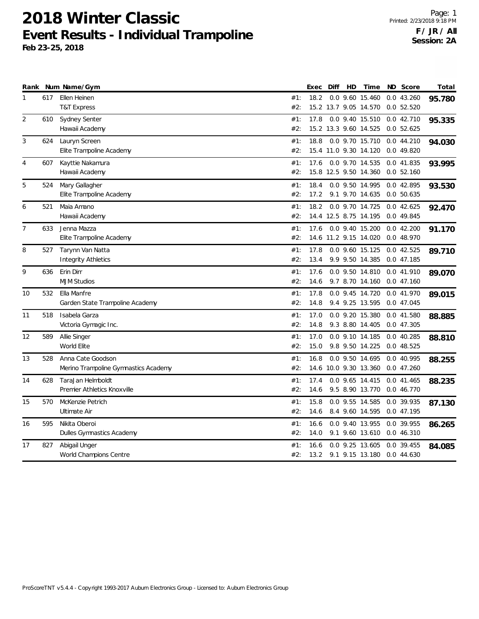|                |     | Rank Num Name/Gym                    |     | Exec | Diff | HD | Time                  | <b>ND</b> | Score        | Total  |
|----------------|-----|--------------------------------------|-----|------|------|----|-----------------------|-----------|--------------|--------|
| 1              | 617 | Ellen Heinen                         | #1: | 18.2 |      |    | 0.0 9.60 15.460       |           | 0.043.260    | 95.780 |
|                |     | <b>T&amp;T Express</b>               | #2: |      |      |    | 15.2 13.7 9.05 14.570 |           | 0.052.520    |        |
| 2              | 610 | Sydney Senter                        | #1: | 17.8 |      |    | 0.0 9.40 15.510       |           | 0.042.710    | 95.335 |
|                |     | Hawaii Academy                       | #2: |      |      |    | 15.2 13.3 9.60 14.525 |           | 0.052.625    |        |
| 3              | 624 | Lauryn Screen                        | #1: | 18.8 |      |    | 0.0 9.70 15.710       |           | 0.044.210    | 94.030 |
|                |     | Elite Trampoline Academy             | #2: |      |      |    | 15.4 11.0 9.30 14.120 |           | 0.0 49.820   |        |
| 4              | 607 | Kayttie Nakamura                     | #1: | 17.6 |      |    | 0.0 9.70 14.535       |           | 0.0 41.835   | 93.995 |
|                |     | Hawaii Academy                       | #2: |      |      |    | 15.8 12.5 9.50 14.360 |           | 0.052.160    |        |
| 5              | 524 | Mary Gallagher                       | #1: | 18.4 |      |    | 0.0 9.50 14.995       |           | 0.0 42.895   | 93.530 |
|                |     | Elite Trampoline Academy             | #2: | 17.2 |      |    | 9.1 9.70 14.635       |           | 0.0 50.635   |        |
| 6              | 521 | Maia Amano                           | #1: | 18.2 |      |    | 0.0 9.70 14.725       |           | 0.042.625    | 92.470 |
|                |     | Hawaii Academy                       | #2: |      |      |    | 14.4 12.5 8.75 14.195 |           | 0.0 49.845   |        |
| $\overline{7}$ | 633 | Jenna Mazza                          | #1: | 17.6 |      |    | 0.0 9.40 15.200       |           | $0.0$ 42.200 | 91.170 |
|                |     | Elite Trampoline Academy             | #2: |      |      |    | 14.6 11.2 9.15 14.020 |           | 0.0 48.970   |        |
| 8              | 527 | Tarynn Van Natta                     | #1: | 17.8 |      |    | 0.0 9.60 15.125       |           | 0.0 42.525   | 89.710 |
|                |     | <b>Integrity Athletics</b>           | #2: | 13.4 |      |    | 9.9 9.50 14.385       |           | 0.0 47.185   |        |
| 9              | 636 | Erin Dirr                            | #1: | 17.6 |      |    | 0.0 9.50 14.810       |           | 0.0 41.910   | 89.070 |
|                |     | <b>MJM Studios</b>                   | #2: | 14.6 |      |    | 9.7 8.70 14.160       |           | 0.047.160    |        |
| 10             | 532 | Ella Manfre                          | #1: | 17.8 |      |    | 0.0 9.45 14.720       |           | 0.0 41.970   | 89.015 |
|                |     | Garden State Trampoline Academy      | #2: | 14.8 |      |    | 9.4 9.25 13.595       |           | 0.0 47.045   |        |
| 11             | 518 | Isabela Garza                        | #1: | 17.0 |      |    | 0.0 9.20 15.380       |           | 0.0 41.580   | 88.885 |
|                |     | Victoria Gymagic Inc.                | #2: | 14.8 |      |    | 9.3 8.80 14.405       |           | 0.0 47.305   |        |
| 12             | 589 | Allie Singer                         | #1: | 17.0 |      |    | 0.0 9.10 14.185       |           | $0.0$ 40.285 | 88.810 |
|                |     | World Elite                          | #2: | 15.0 |      |    | 9.8 9.50 14.225       |           | 0.048.525    |        |
| 13             | 528 | Anna Cate Goodson                    | #1: | 16.8 |      |    | 0.0 9.50 14.695       |           | 0.0 40.995   | 88.255 |
|                |     | Merino Trampoline Gymnastics Academy | #2: |      |      |    | 14.6 10.0 9.30 13.360 |           | 0.047.260    |        |
| 14             | 628 | TaraJan Helmboldt                    | #1: | 17.4 |      |    | 0.0 9.65 14.415       |           | 0.0 41.465   | 88.235 |
|                |     | Premier Athletics Knoxville          | #2: | 14.6 |      |    | 9.5 8.90 13.770       |           | 0.0 46.770   |        |
| 15             | 570 | McKenzie Petrich                     | #1: | 15.8 |      |    | 0.0 9.55 14.585       |           | 0.0 39.935   | 87.130 |
|                |     | Ultimate Air                         | #2: | 14.6 |      |    | 8.4 9.60 14.595       |           | 0.0 47.195   |        |
| 16             | 595 | Nikita Oberoi                        | #1: | 16.6 |      |    | 0.0 9.40 13.955       |           | 0.0 39.955   | 86.265 |
|                |     | Dulles Gymnastics Academy            | #2: | 14.0 |      |    | 9.1 9.60 13.610       |           | 0.0 46.310   |        |
| 17             | 827 | Abigail Unger                        | #1: | 16.6 | 0.0  |    | 9.25 13.605           | 0.0       | 39.455       | 84.085 |
|                |     | World Champions Centre               | #2: | 13.2 |      |    | 9.1 9.15 13.180       |           | 0.0 44.630   |        |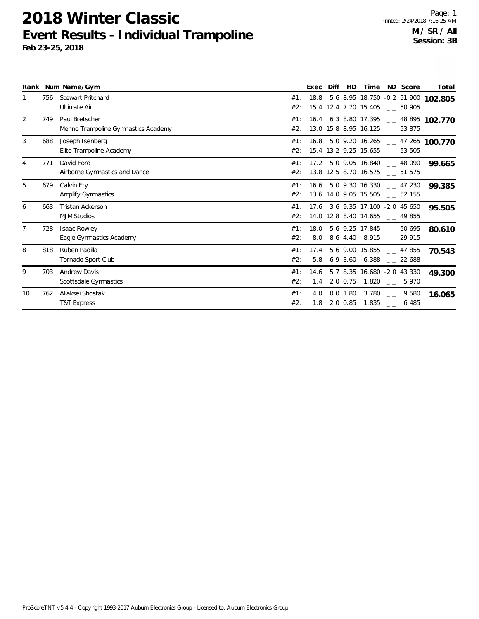|                |     | Rank Num Name/Gym                                      |            | Exec        | Diff | HD         |                                                                                |                            | Time ND Score      | Total                                  |
|----------------|-----|--------------------------------------------------------|------------|-------------|------|------------|--------------------------------------------------------------------------------|----------------------------|--------------------|----------------------------------------|
|                | 756 | <b>Stewart Pritchard</b><br>Ultimate Air               | #1:<br>#2: | 18.8        |      |            | 15.4 12.4 7.70 15.405 __ 50.905                                                |                            |                    | 5.6 8.95 18.750 -0.2 51.900 102.805    |
| $\overline{2}$ | 749 | Paul Bretscher<br>Merino Trampoline Gymnastics Academy | #1:<br>#2: |             |      |            | 13.0 15.8 8.95 16.125 __ 53.875                                                |                            |                    | 16.4 6.3 8.80 17.395 __ 48.895 102.770 |
| 3              | 688 | Joseph Isenberg<br>Elite Trampoline Academy            | #1:<br>#2: |             |      |            | 15.4 13.2 9.25 15.655 __ 53.505                                                |                            |                    | 16.8 5.0 9.20 16.265 __ 47.265 100.770 |
|                | 771 | David Ford<br>Airborne Gymnastics and Dance            | #1:<br>#2: |             |      |            | $17.2$ 5.0 9.05 16.840 $\ldots$ 48.090<br>13.8 12.5 8.70 16.575 __ 51.575      |                            |                    | 99.665                                 |
| 5              | 679 | Calvin Fry<br>Amplify Gymnastics                       | #1:<br>#2: |             |      |            | $16.6$ 5.0 9.30 16.330 $-.47.230$<br>13.6 14.0 9.05 15.505 __ 52.155           |                            |                    | 99.385                                 |
| 6              | 663 | Tristan Ackerson<br><b>MJM Studios</b>                 | #1:<br>#2: |             |      |            | 17.6 3.6 9.35 17.100 -2.0 45.650<br>14.0 12.8 8.40 14.655 __ 49.855            |                            |                    | 95.505                                 |
|                | 728 | <b>Isaac Rowley</b><br>Eagle Gymnastics Academy        | #1:<br>#2: | 18.0<br>8.0 |      |            | 5.6 9.25 17.845 $\qquad$ 50.695<br>8.6 4.40 8.915                              |                            | . 29.915           | 80.610                                 |
| 8              | 818 | Ruben Padilla<br>Tornado Sport Club                    | #1:<br>#2: | 17.4        |      |            | $5.6$ 9.00 15.855 $\ldots$ 47.855<br>5.8 6.9 3.60 6.388 $_{\leftarrow}$ 22.688 |                            |                    | 70.543                                 |
| 9              | 703 | <b>Andrew Davis</b><br>Scottsdale Gymnastics           | #1:<br>#2: | 14.6<br>1.4 |      |            | 5.7 8.35 16.680 -2.0 43.330<br>2.0 0.75 1.820 $\frac{1}{2}$ 5.970              |                            |                    | 49.300                                 |
| 10             | 762 | Aliaksei Shostak<br><b>T&amp;T Express</b>             | #1:<br>#2: | 4.0<br>1.8  |      | $0.0$ 1.80 | 3.780<br>2.0 0.85 1.835                                                        | $\Delta\Delta\Delta\Delta$ | 9.580<br>$-$ 6.485 | 16.065                                 |